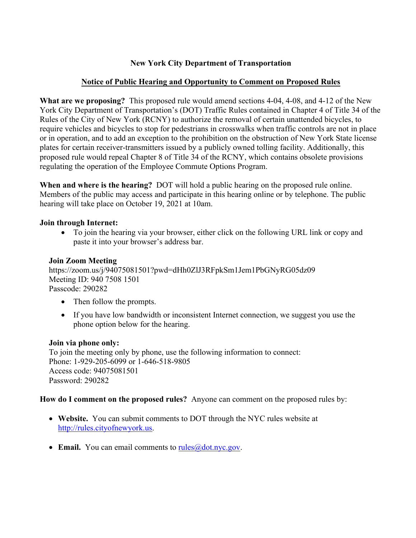# **New York City Department of Transportation**

## **Notice of Public Hearing and Opportunity to Comment on Proposed Rules**

**What are we proposing?** This proposed rule would amend sections 4-04, 4-08, and 4-12 of the New York City Department of Transportation's (DOT) Traffic Rules contained in Chapter 4 of Title 34 of the Rules of the City of New York (RCNY) to authorize the removal of certain unattended bicycles, to require vehicles and bicycles to stop for pedestrians in crosswalks when traffic controls are not in place or in operation, and to add an exception to the prohibition on the obstruction of New York State license plates for certain receiver-transmitters issued by a publicly owned tolling facility. Additionally, this proposed rule would repeal Chapter 8 of Title 34 of the RCNY, which contains obsolete provisions regulating the operation of the Employee Commute Options Program.

**When and where is the hearing?** DOT will hold a public hearing on the proposed rule online. Members of the public may access and participate in this hearing online or by telephone. The public hearing will take place on October 19, 2021 at 10am.

#### **Join through Internet:**

 To join the hearing via your browser, either click on the following URL link or copy and paste it into your browser's address bar.

#### **Join Zoom Meeting**

https://zoom.us/j/94075081501?pwd=dHh0ZlJ3RFpkSm1Jem1PbGNyRG05dz09 Meeting ID: 940 7508 1501 Passcode: 290282

- Then follow the prompts.
- If you have low bandwidth or inconsistent Internet connection, we suggest you use the phone option below for the hearing.

#### **Join via phone only:**

To join the meeting only by phone, use the following information to connect: Phone: 1-929-205-6099 or 1-646-518-9805 Access code: 94075081501 Password: 290282

**How do I comment on the proposed rules?** Anyone can comment on the proposed rules by:

- **Website.** You can submit comments to DOT through the NYC rules website at [http://rules.cityofnewyork.us](http://rules.cityofnewyork.us/).
- Email. You can email comments to [rules@dot.nyc.gov.](mailto:rules@dot.nyc.gov)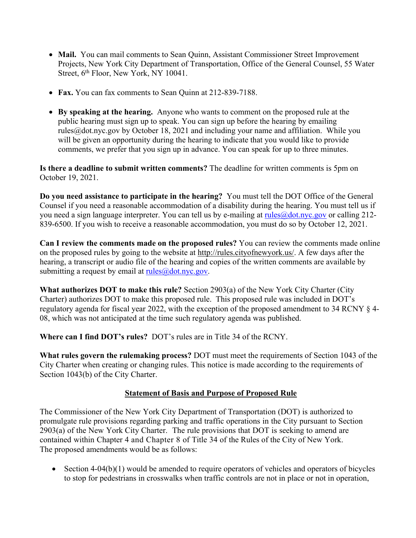- Mail. You can mail comments to Sean Quinn, Assistant Commissioner Street Improvement Projects, New York City Department of Transportation, Office of the General Counsel, 55 Water Street, 6<sup>th</sup> Floor, New York, NY 10041.
- **Fax.** You can fax comments to Sean Quinn at 212-839-7188.
- **By speaking at the hearing.** Anyone who wants to comment on the proposed rule at the public hearing must sign up to speak. You can sign up before the hearing by emailing rules@dot.nyc.gov by October 18, 2021 and including your name and affiliation. While you will be given an opportunity during the hearing to indicate that you would like to provide comments, we prefer that you sign up in advance. You can speak for up to three minutes.

**Is there a deadline to submit written comments?** The deadline for written comments is 5pm on October 19, 2021.

**Do you need assistance to participate in the hearing?** You must tell the DOT Office of the General Counsel if you need a reasonable accommodation of a disability during the hearing. You must tell us if you need a sign language interpreter. You can tell us by e-mailing at rules@dot.nyc.gov or calling 212- 839-6500. If you wish to receive a reasonable accommodation, you must do so by October 12, 2021.

**Can I review the comments made on the proposed rules?** You can review the comments made online on the proposed rules by going to the website at [http://rules.cityofnewyork.us/.](http://rules.cityofnewyork.us/) A few days after the hearing, a transcript or audio file of the hearing and copies of the written comments are available by submitting a request by email at  $rule@{0pt}{0.8pt}aules@{dot.nyc.gov}$ .

**What authorizes DOT to make this rule?** Section 2903(a) of the New York City Charter (City Charter) authorizes DOT to make this proposed rule. This proposed rule was included in DOT's regulatory agenda for fiscal year 2022, with the exception of the proposed amendment to 34 RCNY § 4- 08, which was not anticipated at the time such regulatory agenda was published.

**Where can I find DOT's rules?** DOT's rules are in Title 34 of the RCNY.

**What rules govern the rulemaking process?** DOT must meet the requirements of Section 1043 of the City Charter when creating or changing rules. This notice is made according to the requirements of Section 1043(b) of the City Charter.

### **Statement of Basis and Purpose of Proposed Rule**

The Commissioner of the New York City Department of Transportation (DOT) is authorized to promulgate rule provisions regarding parking and traffic operations in the City pursuant to Section 2903(a) of the New York City Charter. The rule provisions that DOT is seeking to amend are contained within Chapter 4 and Chapter 8 of Title 34 of the Rules of the City of New York. The proposed amendments would be as follows:

 $\bullet$  Section 4-04(b)(1) would be amended to require operators of vehicles and operators of bicycles to stop for pedestrians in crosswalks when traffic controls are not in place or not in operation,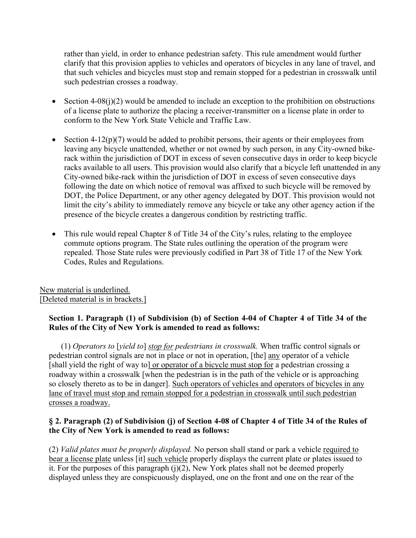rather than yield, in order to enhance pedestrian safety. This rule amendment would further clarify that this provision applies to vehicles and operators of bicycles in any lane of travel, and that such vehicles and bicycles must stop and remain stopped for a pedestrian in crosswalk until such pedestrian crosses a roadway.

- Section 4-08(j)(2) would be amended to include an exception to the prohibition on obstructions of a license plate to authorize the placing a receiver-transmitter on a license plate in order to conform to the New York State Vehicle and Traffic Law.
- Section  $4-12(p)(7)$  would be added to prohibit persons, their agents or their employees from leaving any bicycle unattended, whether or not owned by such person, in any City-owned bikerack within the jurisdiction of DOT in excess of seven consecutive days in order to keep bicycle racks available to all users. This provision would also clarify that a bicycle left unattended in any City-owned bike-rack within the jurisdiction of DOT in excess of seven consecutive days following the date on which notice of removal was affixed to such bicycle will be removed by DOT, the Police Department, or any other agency delegated by DOT. This provision would not limit the city's ability to immediately remove any bicycle or take any other agency action if the presence of the bicycle creates a dangerous condition by restricting traffic.
- This rule would repeal Chapter 8 of Title 34 of the City's rules, relating to the employee commute options program. The State rules outlining the operation of the program were repealed. Those State rules were previously codified in Part 38 of Title 17 of the New York Codes, Rules and Regulations.

New material is underlined. [Deleted material is in brackets.]

### **Section 1. Paragraph (1) of Subdivision (b) of Section 4-04 of Chapter 4 of Title 34 of the Rules of the City of New York is amended to read as follows:**

(1) *Operators to* [*yield to*] *stop for pedestrians in crosswalk.* When traffic control signals or pedestrian control signals are not in place or not in operation, [the] any operator of a vehicle [shall yield the right of way to] or operator of a bicycle must stop for a pedestrian crossing a roadway within a crosswalk [when the pedestrian is in the path of the vehicle or is approaching so closely thereto as to be in danger]. Such operators of vehicles and operators of bicycles in any lane of travel must stop and remain stopped for a pedestrian in crosswalk until such pedestrian crosses a roadway.

### § 2. Paragraph (2) of Subdivision (j) of Section 4-08 of Chapter 4 of Title 34 of the Rules of **the City of New York is amended to read as follows:**

(2) *Valid plates must be properly displayed.* No person shall stand or park a vehicle required to bear a license plate unless [it] such vehicle properly displays the current plate or plates issued to it. For the purposes of this paragraph  $(i)(2)$ , New York plates shall not be deemed properly displayed unless they are conspicuously displayed, one on the front and one on the rear of the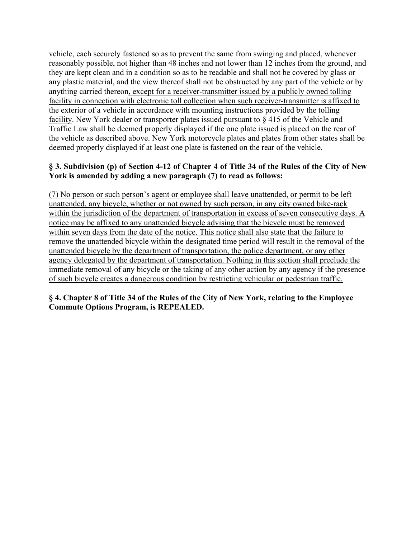vehicle, each securely fastened so as to prevent the same from swinging and placed, whenever reasonably possible, not higher than 48 inches and not lower than 12 inches from the ground, and they are kept clean and in a condition so as to be readable and shall not be covered by glass or any plastic material, and the view thereof shall not be obstructed by any part of the vehicle or by anything carried thereon, except for a receiver-transmitter issued by a publicly owned tolling facility in connection with electronic toll collection when such receiver-transmitter is affixed to the exterior of a vehicle in accordance with mounting instructions provided by the tolling facility. New York dealer or transporter plates issued pursuant to § 415 of the Vehicle and Traffic Law shall be deemed properly displayed if the one plate issued is placed on the rear of the vehicle as described above. New York motorcycle plates and plates from other states shall be deemed properly displayed if at least one plate is fastened on the rear of the vehicle.

### § 3. Subdivision (p) of Section 4-12 of Chapter 4 of Title 34 of the Rules of the City of New **York is amended by adding a new paragraph (7) to read as follows:**

(7) No person or such person's agent or employee shall leave unattended, or permit to be left unattended, any bicycle, whether or not owned by such person, in any city owned bike-rack within the jurisdiction of the department of transportation in excess of seven consecutive days. A notice may be affixed to any unattended bicycle advising that the bicycle must be removed within seven days from the date of the notice. This notice shall also state that the failure to remove the unattended bicycle within the designated time period will result in the removal of the unattended bicycle by the department of transportation, the police department, or any other agency delegated by the department of transportation. Nothing in this section shall preclude the immediate removal of any bicycle or the taking of any other action by any agency if the presence of such bicycle creates a dangerous condition by restricting vehicular or pedestrian traffic.

### § 4. Chapter 8 of Title 34 of the Rules of the City of New York, relating to the Employee **Commute Options Program, is REPEALED.**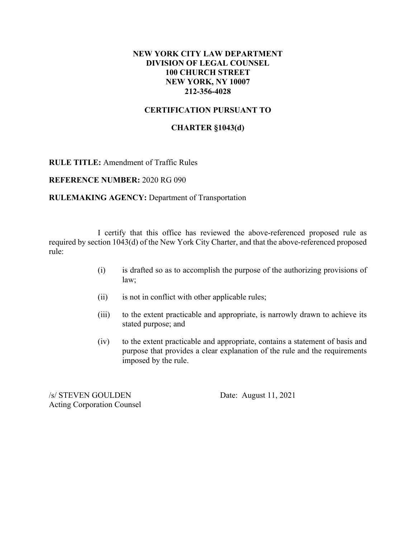### **NEW YORK CITY LAW DEPARTMENT DIVISION OF LEGAL COUNSEL 100 CHURCH STREET NEW YORK, NY 10007 212-356-4028**

### **CERTIFICATION PURSUANT TO**

#### **CHARTER §1043(d)**

**RULE TITLE:** Amendment of Traffic Rules

**REFERENCE NUMBER:** 2020 RG 090

**RULEMAKING AGENCY:** Department of Transportation

I certify that this office has reviewed the above-referenced proposed rule as required by section 1043(d) of the New York City Charter, and that the above-referenced proposed rule:

- (i) is drafted so as to accomplish the purpose of the authorizing provisions of law;
- (ii) is not in conflict with other applicable rules;
- (iii) to the extent practicable and appropriate, is narrowly drawn to achieve its stated purpose; and
- (iv) to the extent practicable and appropriate, contains a statement of basis and purpose that provides a clear explanation of the rule and the requirements imposed by the rule.

/s/ STEVEN GOULDEN Date: August 11, 2021 Acting Corporation Counsel